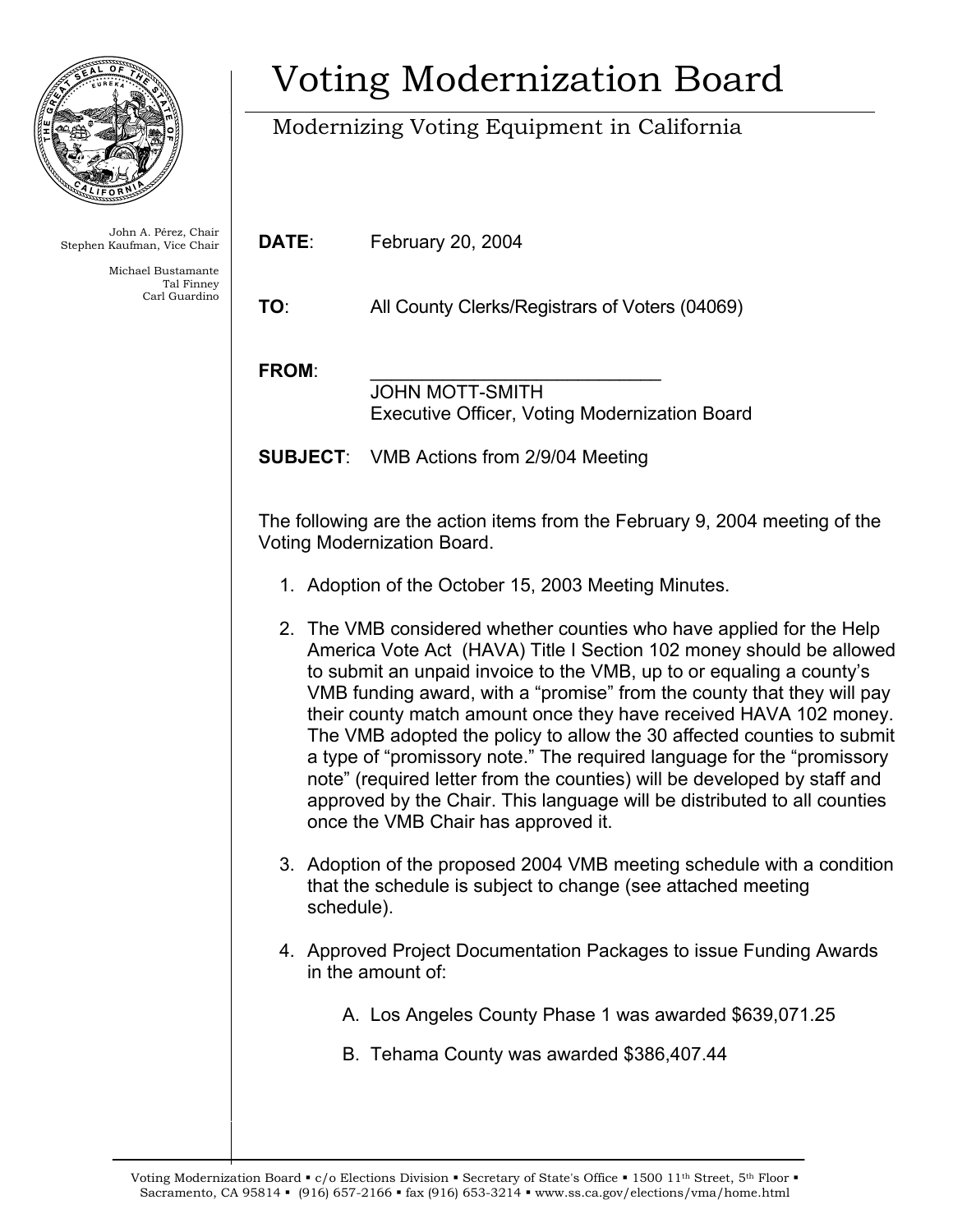

John A. Pérez, Chair Stephen Kaufman, Vice Chair

> Michael Bustamante Tal Finney Carl Guardino

## Voting Modernization Board

## Modernizing Voting Equipment in California

**DATE**: February 20, 2004

**TO**: All County Clerks/Registrars of Voters (04069)

FROM<sup>:</sup>

 JOHN MOTT-SMITH Executive Officer, Voting Modernization Board

**SUBJECT**: VMB Actions from 2/9/04 Meeting

The following are the action items from the February 9, 2004 meeting of the Voting Modernization Board.

- 1. Adoption of the October 15, 2003 Meeting Minutes.
- 2. The VMB considered whether counties who have applied for the Help America Vote Act (HAVA) Title I Section 102 money should be allowed to submit an unpaid invoice to the VMB, up to or equaling a county's VMB funding award, with a "promise" from the county that they will pay their county match amount once they have received HAVA 102 money. The VMB adopted the policy to allow the 30 affected counties to submit a type of "promissory note." The required language for the "promissory note" (required letter from the counties) will be developed by staff and approved by the Chair. This language will be distributed to all counties once the VMB Chair has approved it.
- 3. Adoption of the proposed 2004 VMB meeting schedule with a condition that the schedule is subject to change (see attached meeting schedule).
- 4. Approved Project Documentation Packages to issue Funding Awards in the amount of:
	- A. Los Angeles County Phase 1 was awarded \$639,071.25
	- B. Tehama County was awarded \$386,407.44